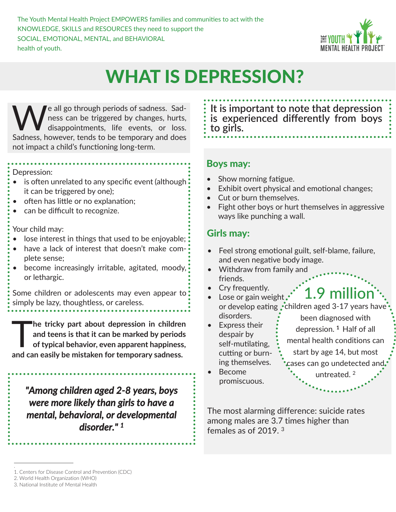The Youth Mental Health Project EMPOWERS families and communities to act with the KNOWLEDGE, SKILLS and RESOURCES they need to support the SOCIAL, EMOTIONAL, MENTAL, and BEHAVIORAL health of youth.



# WHAT IS DEPRESSION?

We all go through periods of sadness. Sad-<br>ness can be triggered by changes, hurts,<br>disappointments, life events, or loss. ness can be triggered by changes, hurts, disappointments, life events, or loss. Sadness, however, tends to be temporary and does not impact a child's functioning long-term.

Depression:

- is often unrelated to any specific event (although it can be triggered by one);
- often has little or no explanation;
- can be difficult to recognize.

Your child may:

- lose interest in things that used to be enjoyable;
- have a lack of interest that doesn't make complete sense;
- become increasingly irritable, agitated, moody, or lethargic.

Some children or adolescents may even appear to simply be lazy, thoughtless, or careless.

The tricky part about depression in children<br>and teens is that it can be marked by periods<br>of typical behavior, even apparent happiness, **and teens is that it can be marked by periods of typical behavior, even apparent happiness, and can easily be mistaken for temporary sadness.** 

*"Among children aged 2-8 years, boys were more likely than girls to have a mental, behavioral, or developmental disorder." <sup>1</sup>*

**It is important to note that depression is experienced differently from boys to girls.**

#### Boys may:

- Show morning fatigue.
- Exhibit overt physical and emotional changes;
- Cut or burn themselves.
- Fight other boys or hurt themselves in aggressive ways like punching a wall.

### Girls may:

- Feel strong emotional guilt, self-blame, failure, and even negative body image.
- Withdraw from family and friends.
- Cry frequently.
- 1.9 million or develop eating  $\cdot$  children aged 3-17 years have  $\cdot$ • Lose or gain weight, disorders.
- Express their despair by self-mutilating, cutting or burning themselves.

been diagnosed with depression. <sup>1</sup> Half of all mental health conditions can start by age 14, but most cases can go undetected and. untreated. <sup>2</sup>

• Become promiscuous.

The most alarming difference: suicide rates among males are 3.7 times higher than females as of 2019. <sup>3</sup>

<sup>.</sup>  1. Centers for Disease Control and Prevention (CDC)

<sup>2.</sup> World Health Organization (WHO)

<sup>3.</sup> National Institute of Mental Health